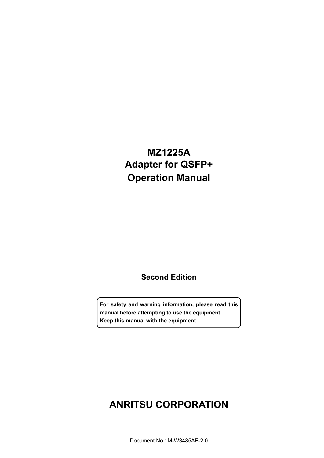# **MZ1225A Adapter for QSFP+ Operation Manual**

### **Second Edition**

**For safety and warning information, please read this manual before attempting to use the equipment. Keep this manual with the equipment.** 

# **ANRITSU CORPORATION**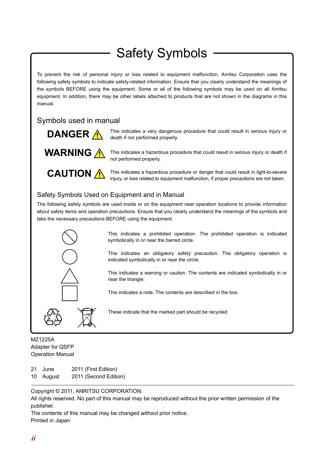# Safety Symbols

To prevent the risk of personal injury or loss related to equipment malfunction, Anritsu Corporation uses the following safety symbols to indicate safety-related information. Ensure that you clearly understand the meanings of the symbols BEFORE using the equipment. Some or all of the following symbols may be used on all Anritsu equipment. In addition, there may be other labels attached to products that are not shown in the diagrams in this manual.

### Symbols used in manual



This indicates a very dangerous procedure that could result in serious injury or death if not performed properly.



This indicates a hazardous procedure that could result in serious injury or death if not performed properly.



This indicates a hazardous procedure or danger that could result in light-to-severe injury, or loss related to equipment malfunction, if proper precautions are not taken.

### Safety Symbols Used on Equipment and in Manual

The following safety symbols are used inside or on the equipment near operation locations to provide information about safety items and operation precautions. Ensure that you clearly understand the meanings of the symbols and take the necessary precautions BEFORE using the equipment.



This indicates a prohibited operation. The prohibited operation is indicated symbolically in or near the barred circle.

 This indicates an obligatory safety precaution. The obligatory operation is indicated symbolically in or near the circle.

 This indicates a warning or caution. The contents are indicated symbolically in or near the triangle.

This indicates a note. The contents are described in the box.

These indicate that the marked part should be recycled.

MZ1225A Adapter for QSFP Operation Manual

- 21 June 2011 (First Edition)
- 10 August 2011 (Second Edition)

Copyright © 2011, ANRITSU CORPORATION.

All rights reserved. No part of this manual may be reproduced without the prior written permission of the publisher.

The contents of this manual may be changed without prior notice. Printed in Japan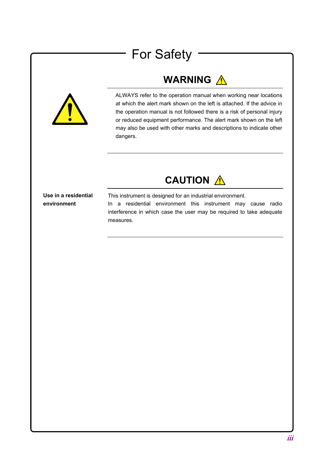# For Safety

# WARNING A





**Use in a residential environment** 

This instrument is designed for an industrial environment. In a residential environment this instrument may cause radio interference in which case the user may be required to take adequate measures.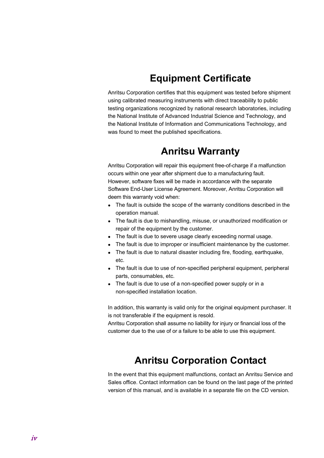# **Equipment Certificate**

Anritsu Corporation certifies that this equipment was tested before shipment using calibrated measuring instruments with direct traceability to public testing organizations recognized by national research laboratories, including the National Institute of Advanced Industrial Science and Technology, and the National Institute of Information and Communications Technology, and was found to meet the published specifications.

### **Anritsu Warranty**

Anritsu Corporation will repair this equipment free-of-charge if a malfunction occurs within one year after shipment due to a manufacturing fault. However, software fixes will be made in accordance with the separate Software End-User License Agreement. Moreover, Anritsu Corporation will deem this warranty void when:

- The fault is outside the scope of the warranty conditions described in the operation manual.
- The fault is due to mishandling, misuse, or unauthorized modification or repair of the equipment by the customer.
- The fault is due to severe usage clearly exceeding normal usage.
- The fault is due to improper or insufficient maintenance by the customer.
- The fault is due to natural disaster including fire, flooding, earthquake, etc.
- The fault is due to use of non-specified peripheral equipment, peripheral parts, consumables, etc.
- The fault is due to use of a non-specified power supply or in a non-specified installation location.

In addition, this warranty is valid only for the original equipment purchaser. It is not transferable if the equipment is resold.

Anritsu Corporation shall assume no liability for injury or financial loss of the customer due to the use of or a failure to be able to use this equipment.

### **Anritsu Corporation Contact**

In the event that this equipment malfunctions, contact an Anritsu Service and Sales office. Contact information can be found on the last page of the printed version of this manual, and is available in a separate file on the CD version.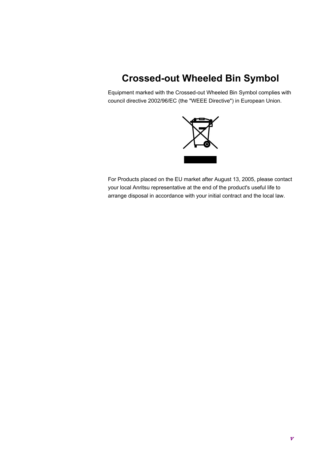# **Crossed-out Wheeled Bin Symbol**

Equipment marked with the Crossed-out Wheeled Bin Symbol complies with council directive 2002/96/EC (the "WEEE Directive") in European Union.



For Products placed on the EU market after August 13, 2005, please contact your local Anritsu representative at the end of the product's useful life to arrange disposal in accordance with your initial contract and the local law.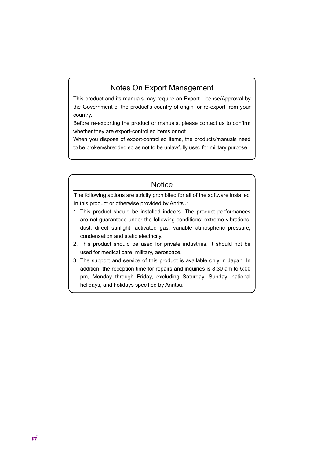### Notes On Export Management

This product and its manuals may require an Export License/Approval by the Government of the product's country of origin for re-export from your country.

Before re-exporting the product or manuals, please contact us to confirm whether they are export-controlled items or not.

When you dispose of export-controlled items, the products/manuals need to be broken/shredded so as not to be unlawfully used for military purpose.

### **Notice**

The following actions are strictly prohibited for all of the software installed in this product or otherwise provided by Anritsu:

- 1. This product should be installed indoors. The product performances are not guaranteed under the following conditions; extreme vibrations, dust, direct sunlight, activated gas, variable atmospheric pressure, condensation and static electricity.
- 2. This product should be used for private industries. It should not be used for medical care, military, aerospace.
- 3. The support and service of this product is available only in Japan. In addition, the reception time for repairs and inquiries is 8:30 am to 5:00 pm, Monday through Friday, excluding Saturday, Sunday, national holidays, and holidays specified by Anritsu.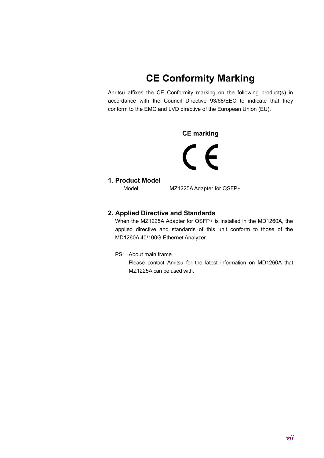# **CE Conformity Marking**

Anritsu affixes the CE Conformity marking on the following product(s) in accordance with the Council Directive 93/68/EEC to indicate that they conform to the EMC and LVD directive of the European Union (EU).

### **CE marking**

 $C \in$ 

#### **1. Product Model**

Model: MZ1225A Adapter for QSFP+

### **2. Applied Directive and Standards**

When the MZ1225A Adapter for QSFP+ is installed in the MD1260A, the applied directive and standards of this unit conform to those of the MD1260A 40/100G Ethernet Analyzer.

PS: About main frame

 Please contact Anritsu for the latest information on MD1260A that MZ1225A can be used with.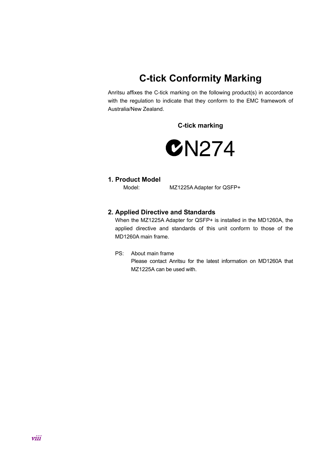# **C-tick Conformity Marking**

Anritsu affixes the C-tick marking on the following product(s) in accordance with the regulation to indicate that they conform to the EMC framework of Australia/New Zealand.

**C-tick marking** 



#### **1. Product Model**

Model: MZ1225A Adapter for QSFP+

### **2. Applied Directive and Standards**

When the MZ1225A Adapter for QSFP+ is installed in the MD1260A, the applied directive and standards of this unit conform to those of the MD1260A main frame.

PS: About main frame

 Please contact Anritsu for the latest information on MD1260A that MZ1225A can be used with.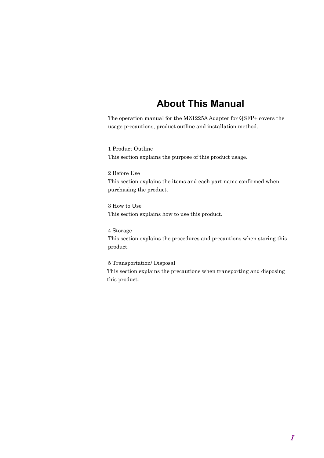### **About This Manual**

The operation manual for the MZ1225A Adapter for QSFP+ covers the usage precautions, product outline and installation method.

1 Product Outline This section explains the purpose of this product usage.

2 Before Use This section explains the items and each part name confirmed when purchasing the product.

3 How to Use This section explains how to use this product.

4 Storage This section explains the procedures and precautions when storing this product.

5 Transportation/ Disposal This section explains the precautions when transporting and disposing this product.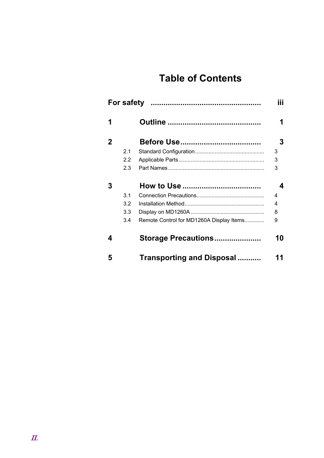# **Table of Contents**

|             |     |                                          | iii |
|-------------|-----|------------------------------------------|-----|
| 1           |     |                                          |     |
| $\mathbf 2$ |     |                                          | 3   |
|             | 2.1 |                                          | 3   |
|             | 2.2 |                                          | 3   |
|             | 2.3 |                                          | 3   |
| 3           |     |                                          | 4   |
|             | 3.1 |                                          | 4   |
|             | 3.2 |                                          | 4   |
|             | 3.3 |                                          | 8   |
|             | 3.4 | Remote Control for MD1260A Display Items | 9   |
| 4           |     | Storage Precautions                      | 10  |
| 5           |     | <b>Transporting and Disposal </b>        | 11  |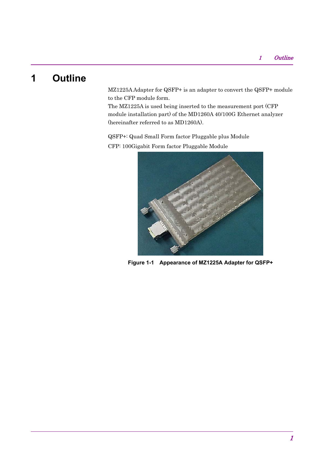# **1 Outline**

MZ1225A Adapter for QSFP+ is an adapter to convert the QSFP+ module to the CFP module form.

The MZ1225A is used being inserted to the measurement port (CFP module installation part) of the MD1260A 40/100G Ethernet analyzer (hereinafter referred to as MD1260A).

QSFP+: Quad Small Form factor Pluggable plus Module CFP: 100Gigabit Form factor Pluggable Module



**Figure 1-1 Appearance of MZ1225A Adapter for QSFP+**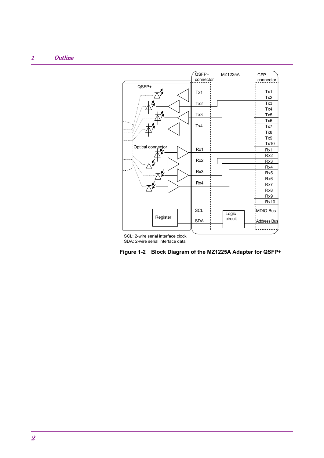### 1 Outline



SCL: 2-wire serial interface clock SDA: 2-wire serial interface data

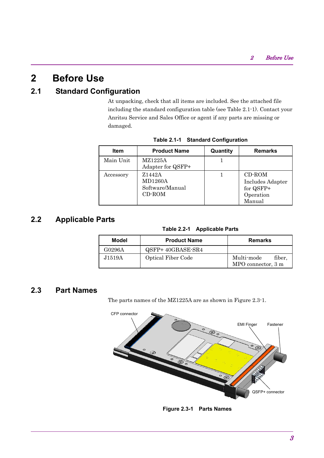### **2 Before Use**

### **2.1 Standard Configuration**

At unpacking, check that all items are included. See the attached file including the standard configuration table (see Table 2.1-1). Contact your Anritsu Service and Sales Office or agent if any parts are missing or damaged.

| <b>Item</b> | <b>Product Name</b>                                   | Quantity | <b>Remarks</b>                                                 |
|-------------|-------------------------------------------------------|----------|----------------------------------------------------------------|
| Main Unit   | MZ1225A<br>Adapter for QSFP+                          |          |                                                                |
| Accessory   | Z1442A<br><b>MD1260A</b><br>Software/Manual<br>CD-ROM |          | CD-ROM<br>Includes Adapter<br>for QSFP+<br>Operation<br>Manual |

**Table 2.1-1 Standard Configuration** 

### **2.2 Applicable Parts**

**Table 2.2-1 Applicable Parts** 

| Model  | <b>Product Name</b>       | <b>Remarks</b>                             |
|--------|---------------------------|--------------------------------------------|
| G0296A | QSFP+40GBASE-SR4          |                                            |
| J1519A | <b>Optical Fiber Code</b> | fiber.<br>Multi-mode<br>MPO connector, 3 m |

### **2.3 Part Names**

The parts names of the MZ1225A are as shown in Figure 2.3-1.



**Figure 2.3-1 Parts Names**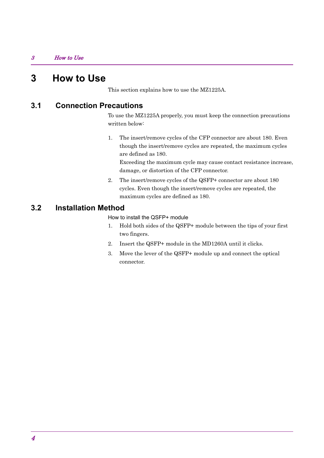### **3 How to Use**

This section explains how to use the MZ1225A.

### **3.1 Connection Precautions**

To use the MZ1225A properly, you must keep the connection precautions written below:

1. The insert/remove cycles of the CFP connector are about 180. Even though the insert/remove cycles are repeated, the maximum cycles are defined as 180.

Exceeding the maximum cycle may cause contact resistance increase, damage, or distortion of the CFP connector.

2. The insert/remove cycles of the QSFP+ connector are about 180 cycles. Even though the insert/remove cycles are repeated, the maximum cycles are defined as 180.

### **3.2 Installation Method**

How to install the QSFP+ module

- 1. Hold both sides of the QSFP+ module between the tips of your first two fingers.
- 2. Insert the QSFP+ module in the MD1260A until it clicks.
- 3. Move the lever of the QSFP+ module up and connect the optical connector.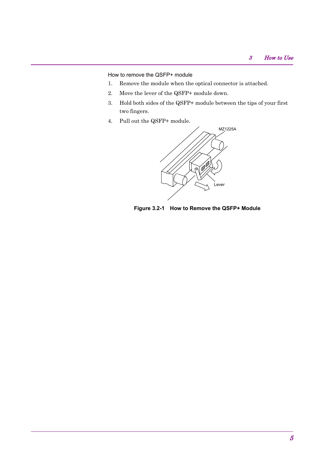How to remove the QSFP+ module

- 1. Remove the module when the optical connector is attached.
- 2. Move the lever of the QSFP+ module down.
- 3. Hold both sides of the QSFP+ module between the tips of your first two fingers.
- 4. Pull out the QSFP+ module.



**Figure 3.2-1 How to Remove the QSFP+ Module**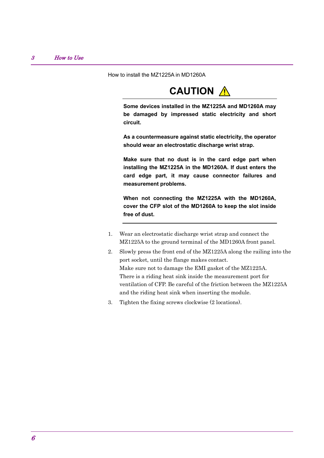How to install the MZ1225A in MD1260A

# **CAUTION** A

**Some devices installed in the MZ1225A and MD1260A may be damaged by impressed static electricity and short circuit.** 

**As a countermeasure against static electricity, the operator should wear an electrostatic discharge wrist strap.** 

**Make sure that no dust is in the card edge part when installing the MZ1225A in the MD1260A. If dust enters the card edge part, it may cause connector failures and measurement problems.** 

**When not connecting the MZ1225A with the MD1260A, cover the CFP slot of the MD1260A to keep the slot inside free of dust.** 

- 1. Wear an electrostatic discharge wrist strap and connect the MZ1225A to the ground terminal of the MD1260A front panel.
- 2. Slowly press the front end of the MZ1225A along the railing into the port socket, until the flange makes contact. Make sure not to damage the EMI gasket of the MZ1225A. There is a riding heat sink inside the measurement port for ventilation of CFP. Be careful of the friction between the MZ1225A and the riding heat sink when inserting the module.
- 3. Tighten the fixing screws clockwise (2 locations).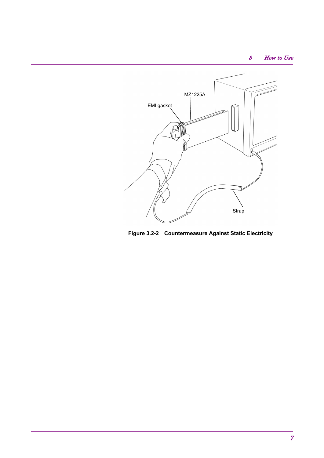### 3 How to Use



**Figure 3.2-2 Countermeasure Against Static Electricity**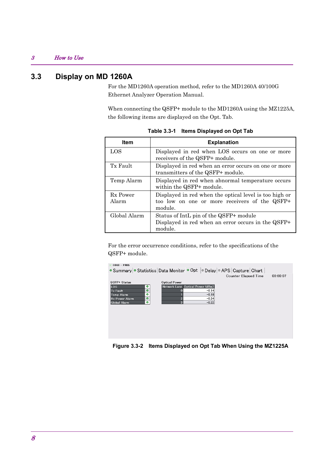### 3 How to Use

### **3.3 Display on MD 1260A**

For the MD1260A operation method, refer to the MD1260A 40/100G Ethernet Analyzer Operation Manual.

When connecting the QSFP+ module to the MD1260A using the MZ1225A, the following items are displayed on the Opt. Tab.

| <b>Item</b>       | <b>Explanation</b>                                                                                                 |
|-------------------|--------------------------------------------------------------------------------------------------------------------|
| LOS               | Displayed in red when LOS occurs on one or more<br>receivers of the QSFP+ module.                                  |
| Tx Fault          | Displayed in red when an error occurs on one or more<br>transmitters of the QSFP+ module.                          |
| Temp Alarm        | Displayed in red when abnormal temperature occurs<br>within the QSFP+ module.                                      |
| Rx Power<br>Alarm | Displayed in red when the optical level is too high or<br>too low on one or more receivers of the QSFP+<br>module. |
| Global Alarm      | Status of IntL pin of the QSFP+ module<br>Displayed in red when an error occurs in the QSFP+<br>module.            |

**Table 3.3-1 Items Displayed on Opt Tab** 

For the error occurrence conditions, refer to the specifications of the QSFP+ module.



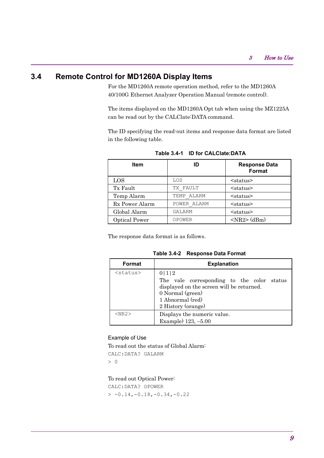### **3.4 Remote Control for MD1260A Display Items**

For the MD1260A remote operation method, refer to the MD1260A 40/100G Ethernet Analyzer Operation Manual (remote control).

The items displayed on the MD1260A Opt tab when using the MZ1225A can be read out by the CALClate:DATA command.

The ID specifying the read-out items and response data format are listed in the following table.

| Item                 | ID          | <b>Response Data</b><br><b>Format</b> |
|----------------------|-------------|---------------------------------------|
| LOS                  | LOS         | $<$ status $>$                        |
| Tx Fault             | TX FAULT    | $<$ status $>$                        |
| Temp Alarm           | TEMP ALARM  | $<$ status $>$                        |
| Rx Power Alarm       | POWER ALARM | $<$ status $>$                        |
| Global Alarm         | GALARM      | $<$ status $>$                        |
| <b>Optical Power</b> | OPOWER      | $<$ NR2> (dBm)                        |

**Table 3.4-1 ID for CALClate:DATA** 

The response data format is as follows.

**Table 3.4-2 Response Data Format** 

| Format         | <b>Explanation</b>                                                                                                                                             |
|----------------|----------------------------------------------------------------------------------------------------------------------------------------------------------------|
| $<$ status $>$ | 0 1 2<br>The vale corresponding to the color status<br>displayed on the screen will be returned.<br>0 Normal (green)<br>1 Abnormal (red)<br>2 History (orange) |
| $<$ NR2 $>$    | Displays the numeric value.                                                                                                                                    |
|                | Example) 123, -5.00                                                                                                                                            |

#### Example of Use

To read out the status of Global Alarm: CALC:DATA? GALARM

> 0

To read out Optical Power:

CALC:DATA? OPOWER  $> -0.14, -0.18, -0.34, -0.22$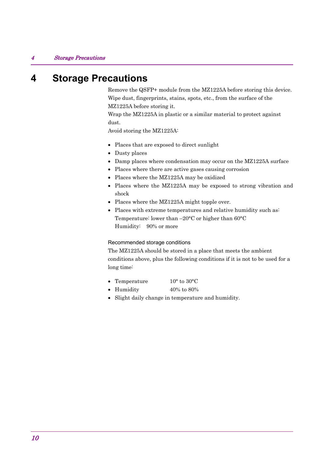### **4 Storage Precautions**

Remove the QSFP+ module from the MZ1225A before storing this device. Wipe dust, fingerprints, stains, spots, etc., from the surface of the MZ1225A before storing it.

Wrap the MZ1225A in plastic or a similar material to protect against dust.

Avoid storing the MZ1225A:

- Places that are exposed to direct sunlight
- Dusty places
- Damp places where condensation may occur on the MZ1225A surface
- Places where there are active gases causing corrosion
- Places where the MZ1225A may be oxidized
- Places where the MZ1225A may be exposed to strong vibration and shock
- Places where the MZ1225A might topple over.
- Places with extreme temperatures and relative humidity such as: Temperature: lower than –20°C or higher than 60°C Humidity: 90% or more

#### Recommended storage conditions

The MZ1225A should be stored in a place that meets the ambient conditions above, plus the following conditions if it is not to be used for a long time:

- Temperature 10° to 30°C
- Humidity 40% to 80%
- Slight daily change in temperature and humidity.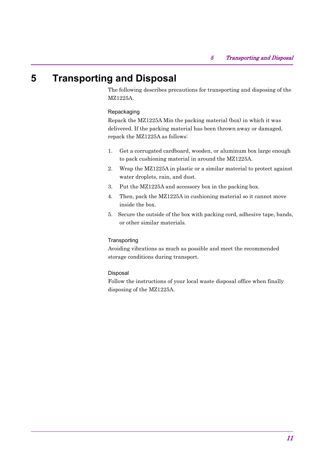# **5 Transporting and Disposal**

The following describes precautions for transporting and disposing of the MZ1225A.

#### Repackaging

Repack the MZ1225A Min the packing material (box) in which it was delivered. If the packing material has been thrown away or damaged, repack the MZ1225A as follows:

- 1. Get a corrugated cardboard, wooden, or aluminum box large enough to pack cushioning material in around the MZ1225A.
- 2. Wrap the MZ1225A in plastic or a similar material to protect against water droplets, rain, and dust.
- 3. Put the MZ1225A and accessory box in the packing box.
- 4. Then, pack the MZ1225A in cushioning material so it cannot move inside the box.
- 5. Secure the outside of the box with packing cord, adhesive tape, bands, or other similar materials.

#### **Transporting**

Avoiding vibrations as much as possible and meet the recommended storage conditions during transport.

#### Disposal

Follow the instructions of your local waste disposal office when finally disposing of the MZ1225A.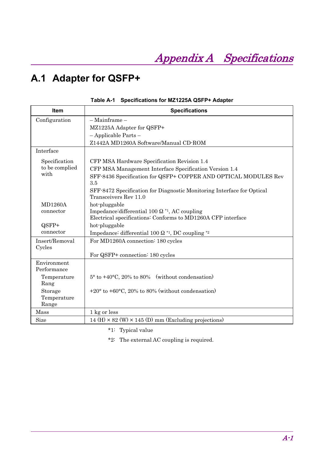# **A.1 Adapter for QSFP+**

| <b>Item</b>                | <b>Specifications</b>                                                  |
|----------------------------|------------------------------------------------------------------------|
| Configuration              | - Mainframe -                                                          |
|                            | MZ1225A Adapter for QSFP+                                              |
|                            | $-$ Applicable Parts $-$                                               |
|                            | Z1442A MD1260A Software/Manual CD-ROM                                  |
| Interface                  |                                                                        |
| Specification              | CFP MSA Hardware Specification Revision 1.4                            |
| to be complied             | CFP MSA Management Interface Specification Version 1.4                 |
| with                       | SFF-8436 Specification for QSFP+ COPPER AND OPTICAL MODULES Rev<br>3.5 |
|                            | SFF-8472 Specification for Diagnostic Monitoring Interface for Optical |
|                            | Transceivers Rev 11.0                                                  |
| <b>MD1260A</b>             | hot-pluggable                                                          |
| connector                  | Impedance differential 100 $\Omega$ <sup>*1</sup> , AC coupling        |
|                            | Electrical specifications: Conforms to MD1260A CFP interface           |
| QSFP+                      | hot-pluggable                                                          |
| connector                  | Impedance: differential 100 $\Omega$ *1, DC coupling *2                |
| Insert/Removal             | For MD1260A connection: 180 cycles                                     |
| Cycles                     |                                                                        |
|                            | For QSFP+ connection: 180 cycles                                       |
| Environment<br>Performance |                                                                        |
| Temperature                | $5^{\circ}$ to $+40^{\circ}$ C, 20% to 80% (without condensation)      |
| Rang                       |                                                                        |
| Storage                    | $+20^{\circ}$ to $+60^{\circ}$ C, 20% to 80% (without condensation)    |
| Temperature                |                                                                        |
| Range                      |                                                                        |
| Mass                       | 1 kg or less                                                           |
| Size                       | 14 (H) $\times$ 82 (W) $\times$ 145 (D) mm (Excluding projections)     |

|  | Table A-1 Specifications for MZ1225A QSFP+ Adapter |  |  |
|--|----------------------------------------------------|--|--|
|--|----------------------------------------------------|--|--|

\*1: Typical value

\*2: The external AC coupling is required.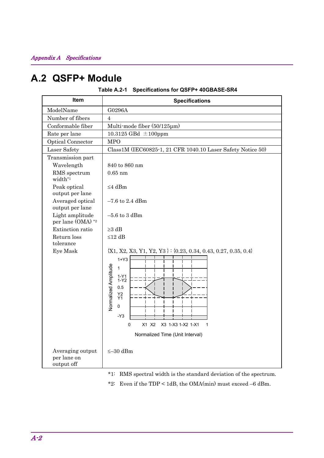# **A.2 QSFP+ Module**

|  | Table A.2-1 Specifications for QSFP+ 40GBASE-SR4 |  |  |
|--|--------------------------------------------------|--|--|
|--|--------------------------------------------------|--|--|

| Item                                          | <b>Specifications</b>                                                                                                                                                                                                                                                                 |
|-----------------------------------------------|---------------------------------------------------------------------------------------------------------------------------------------------------------------------------------------------------------------------------------------------------------------------------------------|
| ModelName                                     | G0296A                                                                                                                                                                                                                                                                                |
| Number of fibers                              | 4                                                                                                                                                                                                                                                                                     |
| Conformable fiber                             | Multi-mode fiber (50/125µm)                                                                                                                                                                                                                                                           |
| Rate per lane                                 | 10.3125 GBd $\pm$ 100ppm                                                                                                                                                                                                                                                              |
| <b>Optical Connector</b>                      | <b>MPO</b>                                                                                                                                                                                                                                                                            |
| Laser Safety                                  | Class1M (IEC60825-1, 21 CFR 1040.10 Laser Safety Notice 50)                                                                                                                                                                                                                           |
| Transmission part                             |                                                                                                                                                                                                                                                                                       |
| Wavelength                                    | 840 to 860 nm                                                                                                                                                                                                                                                                         |
| RMS spectrum<br>width*1                       | $0.65$ nm                                                                                                                                                                                                                                                                             |
| Peak optical<br>output per lane               | $\leq$ 4 dBm                                                                                                                                                                                                                                                                          |
| Averaged optical<br>output per lane           | $-7.6$ to 2.4 dBm                                                                                                                                                                                                                                                                     |
| Light amplitude<br>per lane (OMA) *2          | $-5.6$ to 3 dBm                                                                                                                                                                                                                                                                       |
| Extinction ratio                              | $\geq$ 3 dB                                                                                                                                                                                                                                                                           |
| Return loss<br>tolerance                      | $≤12$ dB                                                                                                                                                                                                                                                                              |
| Eye Mask                                      | ${X1, X2, X3, Y1, Y2, Y3} : {0.23, 0.34, 0.43, 0.27, 0.35, 0.4}$<br>$1+Y3$<br><b>Normalized Amplitude</b><br>$\mathbf{1}$<br>$1-Y1$<br>$1-Y2$<br>0.5<br>Y2<br>Y1<br>$\mathsf 0$<br>$-Y3$<br>X3 1-X3 1-X2 1-X1<br>$\Omega$<br>X1 X2<br>$\mathbf{1}$<br>Normalized Time (Unit Interval) |
| Averaging output<br>per lane on<br>output off | $\leq -30$ dBm                                                                                                                                                                                                                                                                        |

\*1: RMS spectral width is the standard deviation of the spectrum.

\*2: Even if the TDP < 1dB, the OMA(min) must exceed –6 dBm.